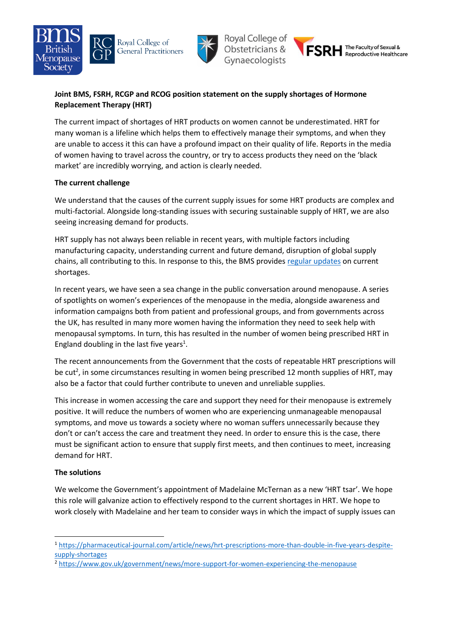







## **Joint BMS, FSRH, RCGP and RCOG position statement on the supply shortages of Hormone Replacement Therapy (HRT)**

The current impact of shortages of HRT products on women cannot be underestimated. HRT for many woman is a lifeline which helps them to effectively manage their symptoms, and when they are unable to access it this can have a profound impact on their quality of life. Reports in the media of women having to travel across the country, or try to access products they need on the 'black market' are incredibly worrying, and action is clearly needed.

## **The current challenge**

We understand that the causes of the current supply issues for some HRT products are complex and multi-factorial. Alongside long-standing issues with securing sustainable supply of HRT, we are also seeing increasing demand for products.

HRT supply has not always been reliable in recent years, with multiple factors including manufacturing capacity, understanding current and future demand, disruption of global supply chains, all contributing to this. In response to this, the BMS provide[s regular updates](https://thebms.org.uk/news/british-menopause-society-update-on-hrt-supply/) on current shortages.

In recent years, we have seen a sea change in the public conversation around menopause. A series of spotlights on women's experiences of the menopause in the media, alongside awareness and information campaigns both from patient and professional groups, and from governments across the UK, has resulted in many more women having the information they need to seek help with menopausal symptoms. In turn, this has resulted in the number of women being prescribed HRT in England doubling in the last five years<sup>1</sup>.

The recent announcements from the Government that the costs of repeatable HRT prescriptions will be cut<sup>2</sup>, in some circumstances resulting in women being prescribed 12 month supplies of HRT, may also be a factor that could further contribute to uneven and unreliable supplies.

This increase in women accessing the care and support they need for their menopause is extremely positive. It will reduce the numbers of women who are experiencing unmanageable menopausal symptoms, and move us towards a society where no woman suffers unnecessarily because they don't or can't access the care and treatment they need. In order to ensure this is the case, there must be significant action to ensure that supply first meets, and then continues to meet, increasing demand for HRT.

## **The solutions**

1

We welcome the Government's appointment of Madelaine McTernan as a new 'HRT tsar'. We hope this role will galvanize action to effectively respond to the current shortages in HRT. We hope to work closely with Madelaine and her team to consider ways in which the impact of supply issues can

<sup>1</sup> [https://pharmaceutical-journal.com/article/news/hrt-prescriptions-more-than-double-in-five-years-despite](https://pharmaceutical-journal.com/article/news/hrt-prescriptions-more-than-double-in-five-years-despite-supply-shortages)[supply-shortages](https://pharmaceutical-journal.com/article/news/hrt-prescriptions-more-than-double-in-five-years-despite-supply-shortages)

<sup>2</sup> <https://www.gov.uk/government/news/more-support-for-women-experiencing-the-menopause>